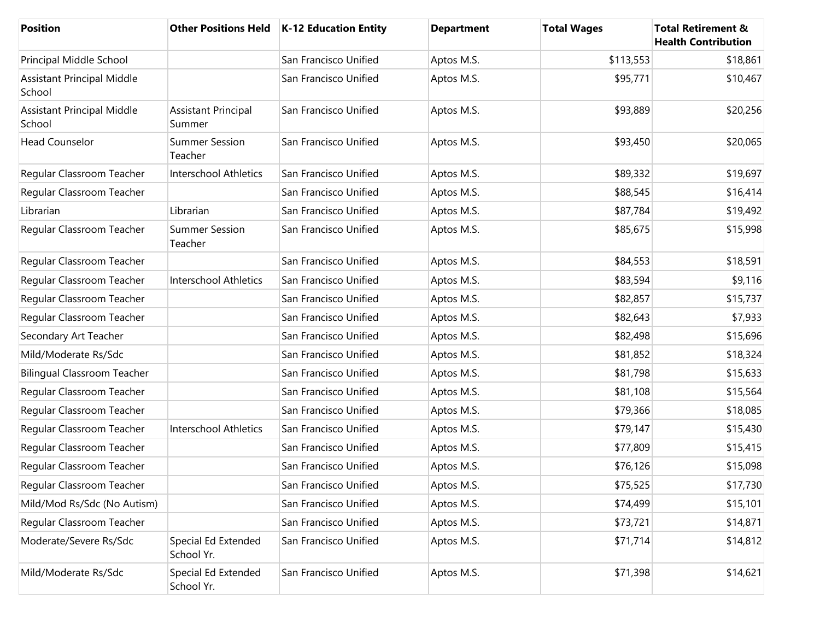| <b>Position</b>                             |                                      | Other Positions Held   K-12 Education Entity | <b>Department</b> | <b>Total Wages</b> | <b>Total Retirement &amp;</b><br><b>Health Contribution</b> |
|---------------------------------------------|--------------------------------------|----------------------------------------------|-------------------|--------------------|-------------------------------------------------------------|
| Principal Middle School                     |                                      | San Francisco Unified                        | Aptos M.S.        | \$113,553          | \$18,861                                                    |
| <b>Assistant Principal Middle</b><br>School |                                      | San Francisco Unified                        | Aptos M.S.        | \$95,771           | \$10,467                                                    |
| <b>Assistant Principal Middle</b><br>School | <b>Assistant Principal</b><br>Summer | San Francisco Unified                        | Aptos M.S.        | \$93,889           | \$20,256                                                    |
| <b>Head Counselor</b>                       | <b>Summer Session</b><br>Teacher     | San Francisco Unified                        | Aptos M.S.        | \$93,450           | \$20,065                                                    |
| Regular Classroom Teacher                   | Interschool Athletics                | San Francisco Unified                        | Aptos M.S.        | \$89,332           | \$19,697                                                    |
| Regular Classroom Teacher                   |                                      | San Francisco Unified                        | Aptos M.S.        | \$88,545           | \$16,414                                                    |
| Librarian                                   | Librarian                            | San Francisco Unified                        | Aptos M.S.        | \$87,784           | \$19,492                                                    |
| Regular Classroom Teacher                   | <b>Summer Session</b><br>Teacher     | San Francisco Unified                        | Aptos M.S.        | \$85,675           | \$15,998                                                    |
| Regular Classroom Teacher                   |                                      | San Francisco Unified                        | Aptos M.S.        | \$84,553           | \$18,591                                                    |
| Regular Classroom Teacher                   | <b>Interschool Athletics</b>         | San Francisco Unified                        | Aptos M.S.        | \$83,594           | \$9,116                                                     |
| Regular Classroom Teacher                   |                                      | San Francisco Unified                        | Aptos M.S.        | \$82,857           | \$15,737                                                    |
| Regular Classroom Teacher                   |                                      | San Francisco Unified                        | Aptos M.S.        | \$82,643           | \$7,933                                                     |
| Secondary Art Teacher                       |                                      | San Francisco Unified                        | Aptos M.S.        | \$82,498           | \$15,696                                                    |
| Mild/Moderate Rs/Sdc                        |                                      | San Francisco Unified                        | Aptos M.S.        | \$81,852           | \$18,324                                                    |
| <b>Bilingual Classroom Teacher</b>          |                                      | San Francisco Unified                        | Aptos M.S.        | \$81,798           | \$15,633                                                    |
| Regular Classroom Teacher                   |                                      | San Francisco Unified                        | Aptos M.S.        | \$81,108           | \$15,564                                                    |
| Regular Classroom Teacher                   |                                      | San Francisco Unified                        | Aptos M.S.        | \$79,366           | \$18,085                                                    |
| Regular Classroom Teacher                   | Interschool Athletics                | San Francisco Unified                        | Aptos M.S.        | \$79,147           | \$15,430                                                    |
| Regular Classroom Teacher                   |                                      | San Francisco Unified                        | Aptos M.S.        | \$77,809           | \$15,415                                                    |
| Regular Classroom Teacher                   |                                      | San Francisco Unified                        | Aptos M.S.        | \$76,126           | \$15,098                                                    |
| Regular Classroom Teacher                   |                                      | San Francisco Unified                        | Aptos M.S.        | \$75,525           | \$17,730                                                    |
| Mild/Mod Rs/Sdc (No Autism)                 |                                      | San Francisco Unified                        | Aptos M.S.        | \$74,499           | \$15,101                                                    |
| Regular Classroom Teacher                   |                                      | San Francisco Unified                        | Aptos M.S.        | \$73,721           | \$14,871                                                    |
| Moderate/Severe Rs/Sdc                      | Special Ed Extended<br>School Yr.    | San Francisco Unified                        | Aptos M.S.        | \$71,714           | \$14,812                                                    |
| Mild/Moderate Rs/Sdc                        | Special Ed Extended<br>School Yr.    | San Francisco Unified                        | Aptos M.S.        | \$71,398           | \$14,621                                                    |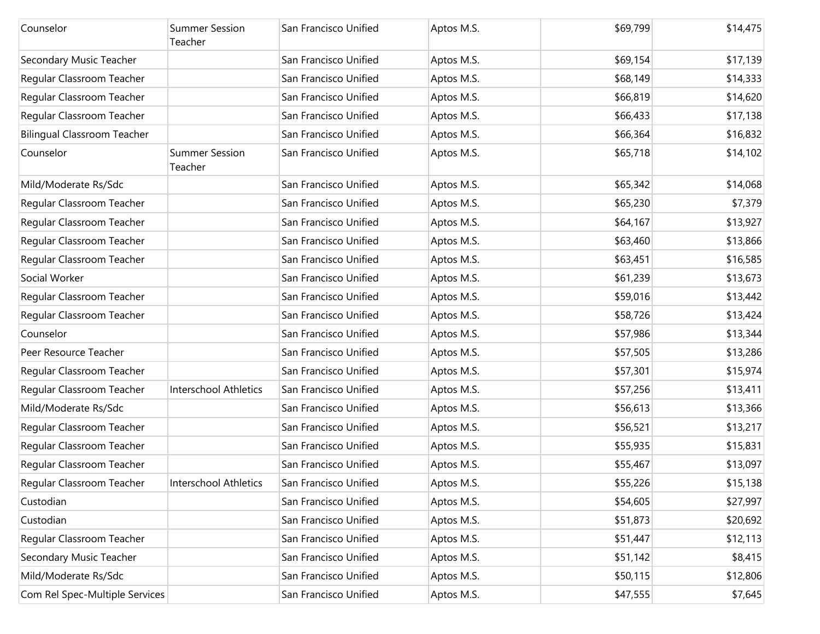| Counselor                          | <b>Summer Session</b><br>Teacher | San Francisco Unified | Aptos M.S. | \$69,799 | \$14,475 |
|------------------------------------|----------------------------------|-----------------------|------------|----------|----------|
| Secondary Music Teacher            |                                  | San Francisco Unified | Aptos M.S. | \$69,154 | \$17,139 |
| Regular Classroom Teacher          |                                  | San Francisco Unified | Aptos M.S. | \$68,149 | \$14,333 |
| Regular Classroom Teacher          |                                  | San Francisco Unified | Aptos M.S. | \$66,819 | \$14,620 |
| Regular Classroom Teacher          |                                  | San Francisco Unified | Aptos M.S. | \$66,433 | \$17,138 |
| <b>Bilingual Classroom Teacher</b> |                                  | San Francisco Unified | Aptos M.S. | \$66,364 | \$16,832 |
| Counselor                          | <b>Summer Session</b><br>Teacher | San Francisco Unified | Aptos M.S. | \$65,718 | \$14,102 |
| Mild/Moderate Rs/Sdc               |                                  | San Francisco Unified | Aptos M.S. | \$65,342 | \$14,068 |
| Regular Classroom Teacher          |                                  | San Francisco Unified | Aptos M.S. | \$65,230 | \$7,379  |
| Regular Classroom Teacher          |                                  | San Francisco Unified | Aptos M.S. | \$64,167 | \$13,927 |
| Regular Classroom Teacher          |                                  | San Francisco Unified | Aptos M.S. | \$63,460 | \$13,866 |
| Regular Classroom Teacher          |                                  | San Francisco Unified | Aptos M.S. | \$63,451 | \$16,585 |
| Social Worker                      |                                  | San Francisco Unified | Aptos M.S. | \$61,239 | \$13,673 |
| Regular Classroom Teacher          |                                  | San Francisco Unified | Aptos M.S. | \$59,016 | \$13,442 |
| Regular Classroom Teacher          |                                  | San Francisco Unified | Aptos M.S. | \$58,726 | \$13,424 |
| Counselor                          |                                  | San Francisco Unified | Aptos M.S. | \$57,986 | \$13,344 |
| Peer Resource Teacher              |                                  | San Francisco Unified | Aptos M.S. | \$57,505 | \$13,286 |
| Regular Classroom Teacher          |                                  | San Francisco Unified | Aptos M.S. | \$57,301 | \$15,974 |
| Regular Classroom Teacher          | <b>Interschool Athletics</b>     | San Francisco Unified | Aptos M.S. | \$57,256 | \$13,411 |
| Mild/Moderate Rs/Sdc               |                                  | San Francisco Unified | Aptos M.S. | \$56,613 | \$13,366 |
| Regular Classroom Teacher          |                                  | San Francisco Unified | Aptos M.S. | \$56,521 | \$13,217 |
| Regular Classroom Teacher          |                                  | San Francisco Unified | Aptos M.S. | \$55,935 | \$15,831 |
| Regular Classroom Teacher          |                                  | San Francisco Unified | Aptos M.S. | \$55,467 | \$13,097 |
| Regular Classroom Teacher          | Interschool Athletics            | San Francisco Unified | Aptos M.S. | \$55,226 | \$15,138 |
| Custodian                          |                                  | San Francisco Unified | Aptos M.S. | \$54,605 | \$27,997 |
| Custodian                          |                                  | San Francisco Unified | Aptos M.S. | \$51,873 | \$20,692 |
| Regular Classroom Teacher          |                                  | San Francisco Unified | Aptos M.S. | \$51,447 | \$12,113 |
| Secondary Music Teacher            |                                  | San Francisco Unified | Aptos M.S. | \$51,142 | \$8,415  |
| Mild/Moderate Rs/Sdc               |                                  | San Francisco Unified | Aptos M.S. | \$50,115 | \$12,806 |
| Com Rel Spec-Multiple Services     |                                  | San Francisco Unified | Aptos M.S. | \$47,555 | \$7,645  |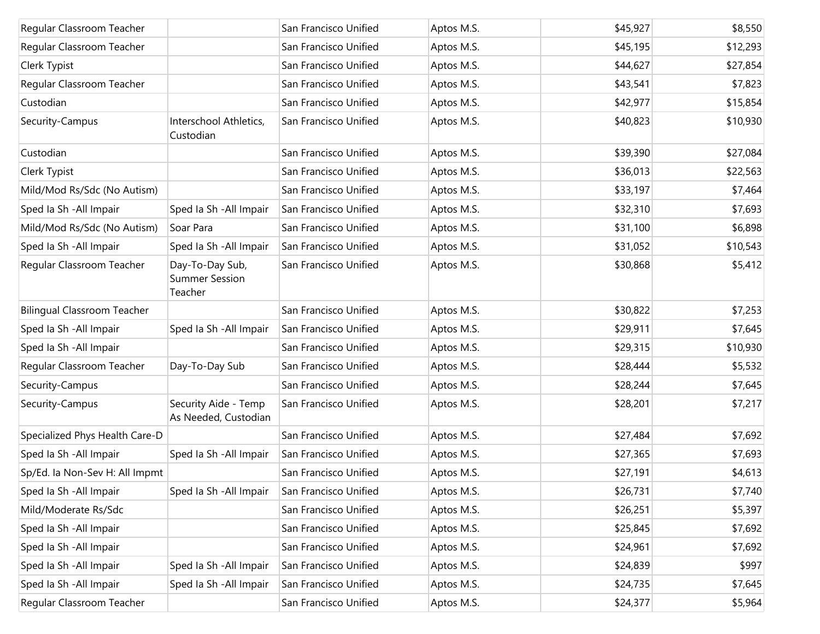| Regular Classroom Teacher          |                                                     | San Francisco Unified | Aptos M.S. | \$45,927 | \$8,550  |
|------------------------------------|-----------------------------------------------------|-----------------------|------------|----------|----------|
| Regular Classroom Teacher          |                                                     | San Francisco Unified | Aptos M.S. | \$45,195 | \$12,293 |
| Clerk Typist                       |                                                     | San Francisco Unified | Aptos M.S. | \$44,627 | \$27,854 |
| Regular Classroom Teacher          |                                                     | San Francisco Unified | Aptos M.S. | \$43,541 | \$7,823  |
| Custodian                          |                                                     | San Francisco Unified | Aptos M.S. | \$42,977 | \$15,854 |
| Security-Campus                    | Interschool Athletics,<br>Custodian                 | San Francisco Unified | Aptos M.S. | \$40,823 | \$10,930 |
| Custodian                          |                                                     | San Francisco Unified | Aptos M.S. | \$39,390 | \$27,084 |
| Clerk Typist                       |                                                     | San Francisco Unified | Aptos M.S. | \$36,013 | \$22,563 |
| Mild/Mod Rs/Sdc (No Autism)        |                                                     | San Francisco Unified | Aptos M.S. | \$33,197 | \$7,464  |
| Sped Ia Sh - All Impair            | Sped Ia Sh - All Impair                             | San Francisco Unified | Aptos M.S. | \$32,310 | \$7,693  |
| Mild/Mod Rs/Sdc (No Autism)        | Soar Para                                           | San Francisco Unified | Aptos M.S. | \$31,100 | \$6,898  |
| Sped Ia Sh - All Impair            | Sped Ia Sh - All Impair                             | San Francisco Unified | Aptos M.S. | \$31,052 | \$10,543 |
| Regular Classroom Teacher          | Day-To-Day Sub,<br><b>Summer Session</b><br>Teacher | San Francisco Unified | Aptos M.S. | \$30,868 | \$5,412  |
| <b>Bilingual Classroom Teacher</b> |                                                     | San Francisco Unified | Aptos M.S. | \$30,822 | \$7,253  |
| Sped Ia Sh - All Impair            | Sped Ia Sh - All Impair                             | San Francisco Unified | Aptos M.S. | \$29,911 | \$7,645  |
| Sped Ia Sh - All Impair            |                                                     | San Francisco Unified | Aptos M.S. | \$29,315 | \$10,930 |
| Regular Classroom Teacher          | Day-To-Day Sub                                      | San Francisco Unified | Aptos M.S. | \$28,444 | \$5,532  |
| Security-Campus                    |                                                     | San Francisco Unified | Aptos M.S. | \$28,244 | \$7,645  |
| Security-Campus                    | Security Aide - Temp<br>As Needed, Custodian        | San Francisco Unified | Aptos M.S. | \$28,201 | \$7,217  |
| Specialized Phys Health Care-D     |                                                     | San Francisco Unified | Aptos M.S. | \$27,484 | \$7,692  |
| Sped Ia Sh - All Impair            | Sped Ia Sh - All Impair                             | San Francisco Unified | Aptos M.S. | \$27,365 | \$7,693  |
| Sp/Ed. la Non-Sev H: All Impmt     |                                                     | San Francisco Unified | Aptos M.S. | \$27,191 | \$4,613  |
| Sped Ia Sh - All Impair            | Sped Ia Sh - All Impair                             | San Francisco Unified | Aptos M.S. | \$26,731 | \$7,740  |
| Mild/Moderate Rs/Sdc               |                                                     | San Francisco Unified | Aptos M.S. | \$26,251 | \$5,397  |
| Sped Ia Sh - All Impair            |                                                     | San Francisco Unified | Aptos M.S. | \$25,845 | \$7,692  |
| Sped Ia Sh - All Impair            |                                                     | San Francisco Unified | Aptos M.S. | \$24,961 | \$7,692  |
| Sped Ia Sh - All Impair            | Sped Ia Sh - All Impair                             | San Francisco Unified | Aptos M.S. | \$24,839 | \$997    |
| Sped Ia Sh - All Impair            | Sped la Sh - All Impair                             | San Francisco Unified | Aptos M.S. | \$24,735 | \$7,645  |
| Regular Classroom Teacher          |                                                     | San Francisco Unified | Aptos M.S. | \$24,377 | \$5,964  |